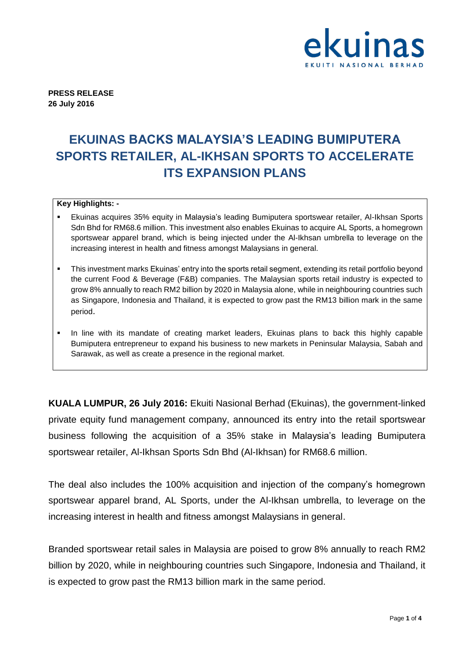

**PRESS RELEASE 26 July 2016**

## **EKUINAS BACKS MALAYSIA'S LEADING BUMIPUTERA SPORTS RETAILER, AL-IKHSAN SPORTS TO ACCELERATE ITS EXPANSION PLANS**

### **Key Highlights: -**

- Ekuinas acquires 35% equity in Malaysia's leading Bumiputera sportswear retailer, Al-Ikhsan Sports Sdn Bhd for RM68.6 million. This investment also enables Ekuinas to acquire AL Sports, a homegrown sportswear apparel brand, which is being injected under the Al-Ikhsan umbrella to leverage on the increasing interest in health and fitness amongst Malaysians in general.
- This investment marks Ekuinas' entry into the sports retail segment, extending its retail portfolio beyond the current Food & Beverage (F&B) companies. The Malaysian sports retail industry is expected to grow 8% annually to reach RM2 billion by 2020 in Malaysia alone, while in neighbouring countries such as Singapore, Indonesia and Thailand, it is expected to grow past the RM13 billion mark in the same period.
- In line with its mandate of creating market leaders, Ekuinas plans to back this highly capable Bumiputera entrepreneur to expand his business to new markets in Peninsular Malaysia, Sabah and Sarawak, as well as create a presence in the regional market.

**KUALA LUMPUR, 26 July 2016:** Ekuiti Nasional Berhad (Ekuinas), the government-linked private equity fund management company, announced its entry into the retail sportswear business following the acquisition of a 35% stake in Malaysia's leading Bumiputera sportswear retailer, Al-Ikhsan Sports Sdn Bhd (Al-Ikhsan) for RM68.6 million.

The deal also includes the 100% acquisition and injection of the company's homegrown sportswear apparel brand, AL Sports, under the Al-Ikhsan umbrella, to leverage on the increasing interest in health and fitness amongst Malaysians in general.

Branded sportswear retail sales in Malaysia are poised to grow 8% annually to reach RM2 billion by 2020, while in neighbouring countries such Singapore, Indonesia and Thailand, it is expected to grow past the RM13 billion mark in the same period.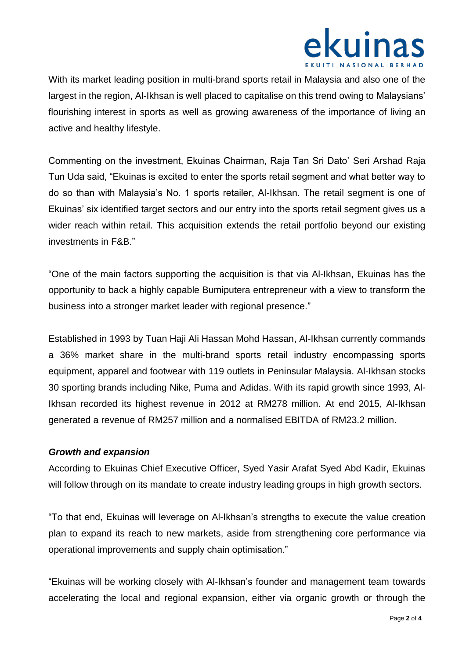

With its market leading position in multi-brand sports retail in Malaysia and also one of the largest in the region, Al-Ikhsan is well placed to capitalise on this trend owing to Malaysians' flourishing interest in sports as well as growing awareness of the importance of living an active and healthy lifestyle.

Commenting on the investment, Ekuinas Chairman, Raja Tan Sri Dato' Seri Arshad Raja Tun Uda said, "Ekuinas is excited to enter the sports retail segment and what better way to do so than with Malaysia's No. 1 sports retailer, Al-Ikhsan. The retail segment is one of Ekuinas' six identified target sectors and our entry into the sports retail segment gives us a wider reach within retail. This acquisition extends the retail portfolio beyond our existing investments in F&B."

"One of the main factors supporting the acquisition is that via Al-Ikhsan, Ekuinas has the opportunity to back a highly capable Bumiputera entrepreneur with a view to transform the business into a stronger market leader with regional presence."

Established in 1993 by Tuan Haji Ali Hassan Mohd Hassan, Al-Ikhsan currently commands a 36% market share in the multi-brand sports retail industry encompassing sports equipment, apparel and footwear with 119 outlets in Peninsular Malaysia. Al-Ikhsan stocks 30 sporting brands including Nike, Puma and Adidas. With its rapid growth since 1993, Al-Ikhsan recorded its highest revenue in 2012 at RM278 million. At end 2015, Al-Ikhsan generated a revenue of RM257 million and a normalised EBITDA of RM23.2 million.

### *Growth and expansion*

According to Ekuinas Chief Executive Officer, Syed Yasir Arafat Syed Abd Kadir, Ekuinas will follow through on its mandate to create industry leading groups in high growth sectors.

"To that end, Ekuinas will leverage on Al-Ikhsan's strengths to execute the value creation plan to expand its reach to new markets, aside from strengthening core performance via operational improvements and supply chain optimisation."

"Ekuinas will be working closely with Al-Ikhsan's founder and management team towards accelerating the local and regional expansion, either via organic growth or through the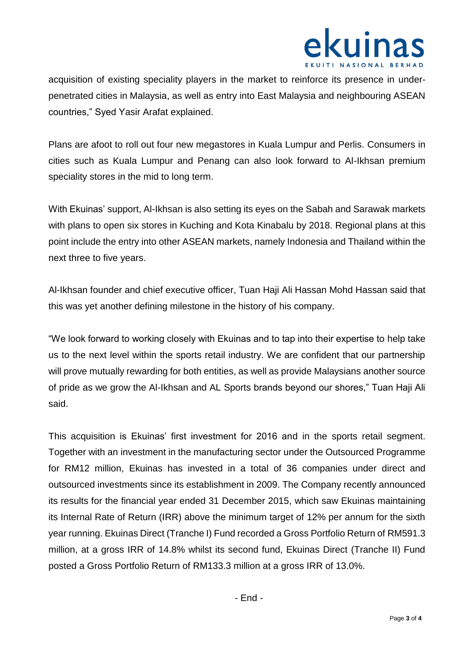

acquisition of existing speciality players in the market to reinforce its presence in underpenetrated cities in Malaysia, as well as entry into East Malaysia and neighbouring ASEAN countries," Syed Yasir Arafat explained.

Plans are afoot to roll out four new megastores in Kuala Lumpur and Perlis. Consumers in cities such as Kuala Lumpur and Penang can also look forward to Al-Ikhsan premium speciality stores in the mid to long term.

With Ekuinas' support, Al-Ikhsan is also setting its eyes on the Sabah and Sarawak markets with plans to open six stores in Kuching and Kota Kinabalu by 2018. Regional plans at this point include the entry into other ASEAN markets, namely Indonesia and Thailand within the next three to five years.

Al-Ikhsan founder and chief executive officer, Tuan Haji Ali Hassan Mohd Hassan said that this was yet another defining milestone in the history of his company.

"We look forward to working closely with Ekuinas and to tap into their expertise to help take us to the next level within the sports retail industry. We are confident that our partnership will prove mutually rewarding for both entities, as well as provide Malaysians another source of pride as we grow the Al-Ikhsan and AL Sports brands beyond our shores," Tuan Haji Ali said.

This acquisition is Ekuinas' first investment for 2016 and in the sports retail segment. Together with an investment in the manufacturing sector under the Outsourced Programme for RM12 million, Ekuinas has invested in a total of 36 companies under direct and outsourced investments since its establishment in 2009. The Company recently announced its results for the financial year ended 31 December 2015, which saw Ekuinas maintaining its Internal Rate of Return (IRR) above the minimum target of 12% per annum for the sixth year running. Ekuinas Direct (Tranche I) Fund recorded a Gross Portfolio Return of RM591.3 million, at a gross IRR of 14.8% whilst its second fund, Ekuinas Direct (Tranche II) Fund posted a Gross Portfolio Return of RM133.3 million at a gross IRR of 13.0%.